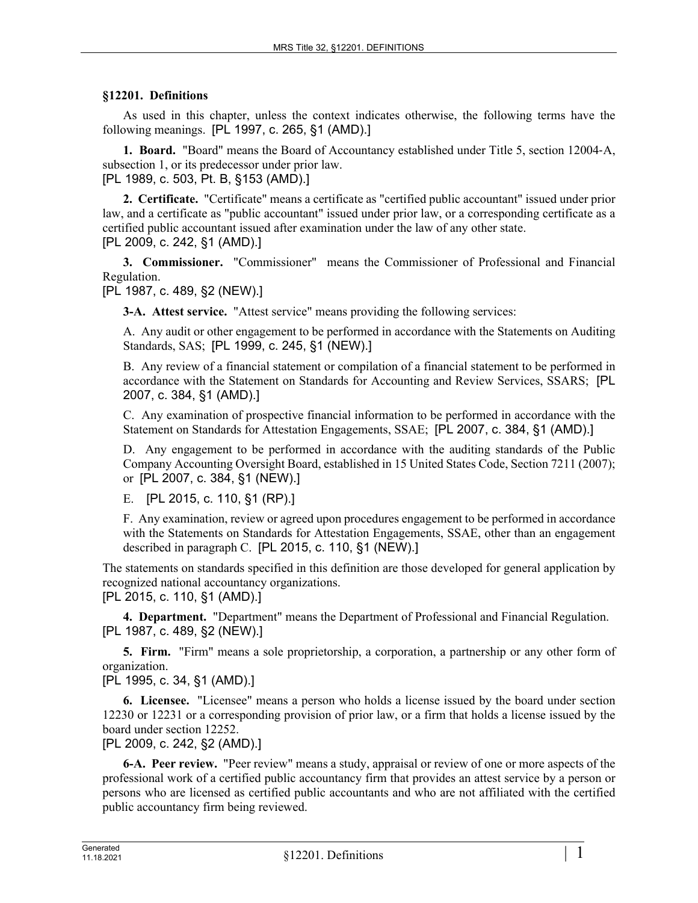## **§12201. Definitions**

As used in this chapter, unless the context indicates otherwise, the following terms have the following meanings. [PL 1997, c. 265, §1 (AMD).]

**1. Board.** "Board" means the Board of Accountancy established under Title 5, section 12004‑A, subsection 1, or its predecessor under prior law. [PL 1989, c. 503, Pt. B, §153 (AMD).]

**2. Certificate.** "Certificate" means a certificate as "certified public accountant" issued under prior law, and a certificate as "public accountant" issued under prior law, or a corresponding certificate as a certified public accountant issued after examination under the law of any other state. [PL 2009, c. 242, §1 (AMD).]

**3. Commissioner.** "Commissioner" means the Commissioner of Professional and Financial Regulation.

[PL 1987, c. 489, §2 (NEW).]

**3-A. Attest service.** "Attest service" means providing the following services:

A. Any audit or other engagement to be performed in accordance with the Statements on Auditing Standards, SAS; [PL 1999, c. 245, §1 (NEW).]

B. Any review of a financial statement or compilation of a financial statement to be performed in accordance with the Statement on Standards for Accounting and Review Services, SSARS; [PL 2007, c. 384, §1 (AMD).]

C. Any examination of prospective financial information to be performed in accordance with the Statement on Standards for Attestation Engagements, SSAE; [PL 2007, c. 384, §1 (AMD).]

D. Any engagement to be performed in accordance with the auditing standards of the Public Company Accounting Oversight Board, established in 15 United States Code, Section 7211 (2007); or [PL 2007, c. 384, §1 (NEW).]

E. [PL 2015, c. 110, §1 (RP).]

F. Any examination, review or agreed upon procedures engagement to be performed in accordance with the Statements on Standards for Attestation Engagements, SSAE, other than an engagement described in paragraph C. [PL 2015, c. 110, §1 (NEW).]

The statements on standards specified in this definition are those developed for general application by recognized national accountancy organizations.

[PL 2015, c. 110, §1 (AMD).]

**4. Department.** "Department" means the Department of Professional and Financial Regulation. [PL 1987, c. 489, §2 (NEW).]

**5. Firm.** "Firm" means a sole proprietorship, a corporation, a partnership or any other form of organization.

[PL 1995, c. 34, §1 (AMD).]

**6. Licensee.** "Licensee" means a person who holds a license issued by the board under section 12230 or 12231 or a corresponding provision of prior law, or a firm that holds a license issued by the board under section 12252.

[PL 2009, c. 242, §2 (AMD).]

**6-A. Peer review.** "Peer review" means a study, appraisal or review of one or more aspects of the professional work of a certified public accountancy firm that provides an attest service by a person or persons who are licensed as certified public accountants and who are not affiliated with the certified public accountancy firm being reviewed.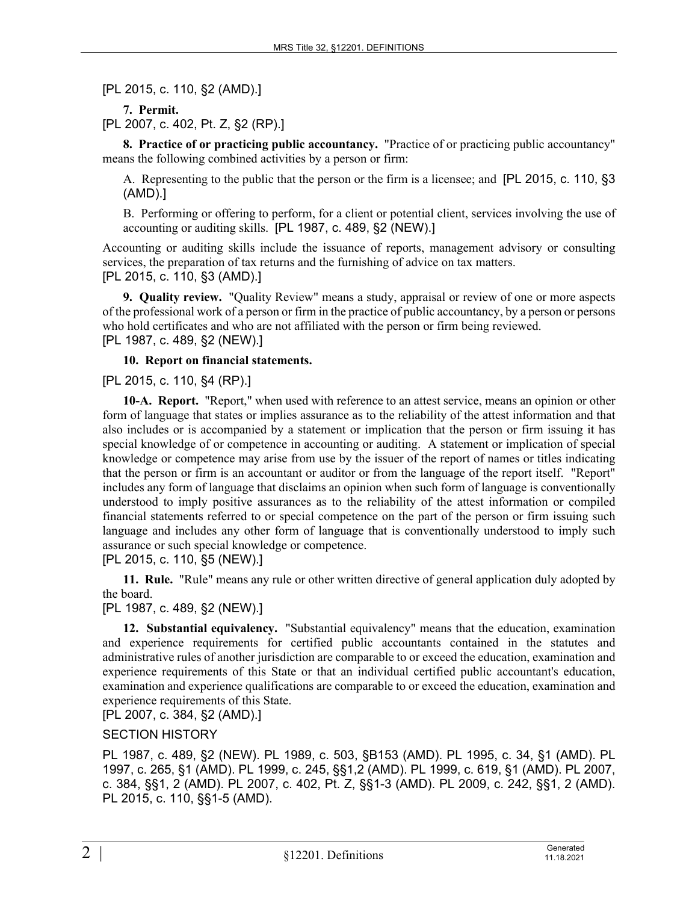[PL 2015, c. 110, §2 (AMD).]

**7. Permit.** 

[PL 2007, c. 402, Pt. Z, §2 (RP).]

**8. Practice of or practicing public accountancy.** "Practice of or practicing public accountancy" means the following combined activities by a person or firm:

A. Representing to the public that the person or the firm is a licensee; and [PL 2015, c. 110, §3 (AMD).]

B. Performing or offering to perform, for a client or potential client, services involving the use of accounting or auditing skills. [PL 1987, c. 489, §2 (NEW).]

Accounting or auditing skills include the issuance of reports, management advisory or consulting services, the preparation of tax returns and the furnishing of advice on tax matters. [PL 2015, c. 110, §3 (AMD).]

**9. Quality review.** "Quality Review" means a study, appraisal or review of one or more aspects of the professional work of a person or firm in the practice of public accountancy, by a person or persons who hold certificates and who are not affiliated with the person or firm being reviewed. [PL 1987, c. 489, §2 (NEW).]

**10. Report on financial statements.** 

[PL 2015, c. 110, §4 (RP).]

**10-A. Report.** "Report," when used with reference to an attest service, means an opinion or other form of language that states or implies assurance as to the reliability of the attest information and that also includes or is accompanied by a statement or implication that the person or firm issuing it has special knowledge of or competence in accounting or auditing. A statement or implication of special knowledge or competence may arise from use by the issuer of the report of names or titles indicating that the person or firm is an accountant or auditor or from the language of the report itself. "Report" includes any form of language that disclaims an opinion when such form of language is conventionally understood to imply positive assurances as to the reliability of the attest information or compiled financial statements referred to or special competence on the part of the person or firm issuing such language and includes any other form of language that is conventionally understood to imply such assurance or such special knowledge or competence.

[PL 2015, c. 110, §5 (NEW).]

**11. Rule.** "Rule" means any rule or other written directive of general application duly adopted by the board.

[PL 1987, c. 489, §2 (NEW).]

**12. Substantial equivalency.** "Substantial equivalency" means that the education, examination and experience requirements for certified public accountants contained in the statutes and administrative rules of another jurisdiction are comparable to or exceed the education, examination and experience requirements of this State or that an individual certified public accountant's education, examination and experience qualifications are comparable to or exceed the education, examination and experience requirements of this State.

[PL 2007, c. 384, §2 (AMD).]

SECTION HISTORY

PL 1987, c. 489, §2 (NEW). PL 1989, c. 503, §B153 (AMD). PL 1995, c. 34, §1 (AMD). PL 1997, c. 265, §1 (AMD). PL 1999, c. 245, §§1,2 (AMD). PL 1999, c. 619, §1 (AMD). PL 2007, c. 384, §§1, 2 (AMD). PL 2007, c. 402, Pt. Z, §§1-3 (AMD). PL 2009, c. 242, §§1, 2 (AMD). PL 2015, c. 110, §§1-5 (AMD).